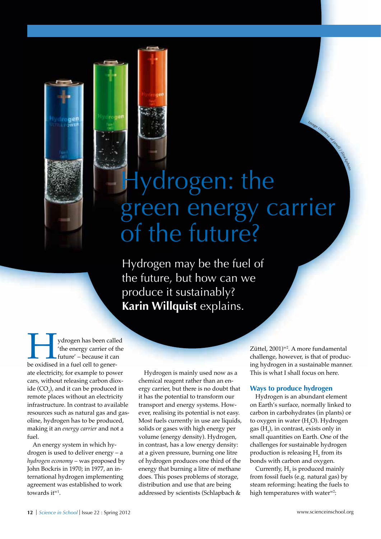# Image countery of this area in the Hydrogen: the green energy carrier of the future?

Hydrogen may be the fuel of the future, but how can we produce it sustainably? **Karin Willquist** explains.

ydrogen has been called<br>
'the energy carrier of the<br>
future' – because it can<br>
be oxidised in a fuel cell to gener-'the energy carrier of the future' – because it can ate electricity, for example to power cars, without releasing carbon dioxide (CO<sub>2</sub>), and it can be produced in remote places without an electricity infrastructure. In contrast to available resources such as natural gas and gasoline, hydrogen has to be produced, making it an *energy carrier* and not a fuel.

An energy system in which hydrogen is used to deliver energy – a *hydrogen economy* – was proposed by John Bockris in 1970; in 1977, an international hydrogen implementing agreement was established to work towards it<sup>w1</sup>.

Hydrogen is mainly used now as a chemical reagent rather than an energy carrier, but there is no doubt that it has the potential to transform our transport and energy systems. However, realising its potential is not easy. Most fuels currently in use are liquids, solids or gases with high energy per volume (energy density). Hydrogen, in contrast, has a low energy density: at a given pressure, burning one litre of hydrogen produces one third of the energy that burning a litre of methane does. This poses problems of storage, distribution and use that are being addressed by scientists (Schlapbach &

Züttel, 2001)<sup>w2</sup>. A more fundamental challenge, however, is that of producing hydrogen in a sustainable manner. This is what I shall focus on here.

#### **Ways to produce hydrogen**

Hydrogen is an abundant element on Earth's surface, normally linked to carbon in carbohydrates (in plants) or to oxygen in water  $(H_2O)$ . Hydrogen gas  $(H_2)$ , in contrast, exists only in small quantities on Earth. One of the challenges for sustainable hydrogen production is releasing  $H_2$  from its bonds with carbon and oxygen.

Currently,  $H_2$  is produced mainly from fossil fuels (e.g. natural gas) by steam reforming: heating the fuels to high temperatures with water<sup>w2</sup>: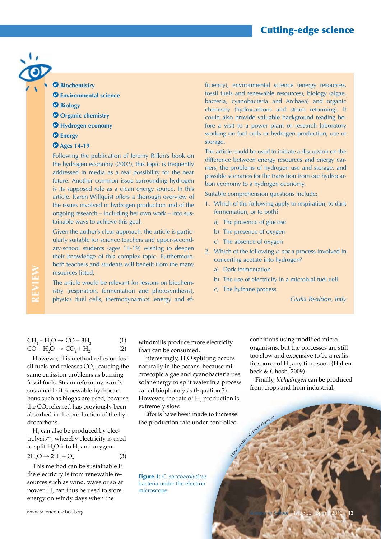## Cutting-edge science

#### **Biochemistry**

- **Environmental science**
- **Biology**
- *O* Organic chemistry
- **Hydrogen economy**
- **Energy**
- **Ages 14-19**

Following the publication of Jeremy Rifkin's book on the hydrogen economy (2002), this topic is frequently addressed in media as a real possibility for the near future. Another common issue surrounding hydrogen is its supposed role as a clean energy source. In this article, Karen Willquist offers a thorough overview of the issues involved in hydrogen production and of the ongoing research – including her own work – into sustainable ways to achieve this goal.

Given the author's clear approach, the article is particularly suitable for science teachers and upper-secondary-school students (ages 14-19) wishing to deepen their knowledge of this complex topic. Furthermore, both teachers and students will benefit from the many resources listed.

The article would be relevant for lessons on biochemistry (respiration, fermentation and photosynthesis), physics (fuel cells, thermodynamics: energy and efficiency), environmental science (energy resources, fossil fuels and renewable resources), biology (algae, bacteria, cyanobacteria and Archaea) and organic chemistry (hydrocarbons and steam reforming). It could also provide valuable background reading before a visit to a power plant or research laboratory working on fuel cells or hydrogen production, use or storage.

The article could be used to initiate a discussion on the difference between energy resources and energy carriers; the problems of hydrogen use and storage; and possible scenarios for the transition from our hydrocarbon economy to a hydrogen economy.

Suitable comprehension questions include:

- 1. Which of the following apply to respiration, to dark fermentation, or to both?
	- a) The presence of glucose
	- b) The presence of oxygen
	- c) The absence of oxygen
- 2. Which of the following *is not* a process involved in converting acetate into hydrogen?
	- a) Dark fermentation
	- b) The use of electricity in a microbial fuel cell
	- c) The hythane process

*Giulia Realdon, Italy*

 $CH_4 + H_2O \rightarrow CO + 3H_2$  (1)  $CO + H_2O \rightarrow CO_2 + H_2$  (2)

However, this method relies on fossil fuels and releases  $CO<sub>2</sub>$ , causing the same emission problems as burning fossil fuels. Steam reforming is only sustainable if renewable hydrocarbons such as biogas are used, because the CO<sub>2</sub> released has previously been absorbed in the production of the hydrocarbons.

 $\mathrm{H}_{\scriptscriptstyle{2}}$  can also be produced by electrolysisw2, whereby electricity is used to split  $\mathrm{H}_{2}\mathrm{O}$  into  $\mathrm{H}_{2}$  and oxygen:  $2H_2O \rightarrow 2H_2 + O_2$  (3)

This method can be sustainable if the electricity is from renewable resources such as wind, wave or solar power.  $\mathrm{H}_{\mathrm{2}}$  can thus be used to store energy on windy days when the

windmills produce more electricity than can be consumed.

Interestingly,  $H_2O$  splitting occurs naturally in the oceans, because microscopic algae and cyanobacteria use solar energy to split water in a process called biophotolysis (Equation 3). However, the rate of  $\mathrm{H}_{2}$  production is extremely slow.

**i** *Co*<sup>*x*</sup> *Ag*<sup>*x*</sup> *Haab*<sup>*d Kurebom*</sup> Efforts have been made to increase the production rate under controlled

**Figure 1:** *C. saccharolyticus*  bacteria under the electron microscope

conditions using modified microorganisms, but the processes are still too slow and expensive to be a realistic source of  $H_2$  any time soon (Hallenbeck & Ghosh, 2009).

Finally, *biohydrogen* can be produced from crops and from industrial,

**REVIEW**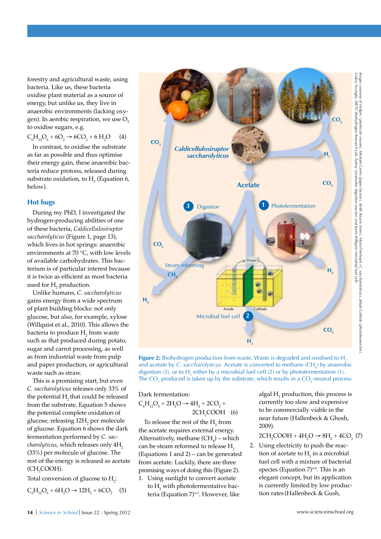forestry and agricultural waste, using bacteria. Like us, these bacteria oxidise plant material as a source of energy, but unlike us, they live in anaerobic environments (lacking oxygen). In aerobic respiration, we use  $O<sub>2</sub>$ to oxidise sugars, e.g.

 $C_6H_{12}O_6 + 6O_2 \rightarrow 6CO_2 + 6H_2$  $(4)$ 

In contrast, to oxidise the substrate as far as possible and thus optimise their energy gain, these anaerobic bacteria reduce protons, released during substrate oxidation, to  $H_2$  (Equation 6, below).

#### **Hot bugs**

During my PhD, I investigated the hydrogen-producing abilities of one of these bacteria, *Caldicellulosiruptor saccharolyticus* (Figure 1, page 13), which lives in hot springs: anaerobic environments at 70 °C, with low levels of available carbohydrates. This bacterium is of particular interest because it is twice as efficient as most bacteria used for  $\mathrm{H}_{2}$  production.

Unlike humans, *C. saccharolyticus* gains energy from a wide spectrum of plant building blocks: not only glucose, but also, for example, xylose (Willquist et al., 2010). This allows the bacteria to produce  $\mathrm{H}_{\mathrm{2}}$  from waste such as that produced during potato, sugar and carrot processing, as well as from industrial waste from pulp and paper production, or agricultural waste such as straw.

This is a promising start, but even *C. saccharolyticus* releases only 33% of the potential H<sub>2</sub> that could be released from the substrate. Equation 5 shows the potential complete oxidation of glucose, releasing 12 $\rm H_2$  per molecule of glucose. Equation 6 shows the dark fermentation performed by *C. saccharolyticus*, which releases only 4H<sub>2</sub> (33%) per molecule of glucose. The rest of the energy is released as acetate (CH<sub>3</sub>COOH).

Total conversion of glucose to  $H_2$ :

 $C_6H_{12}O_6 + 6H_2O \rightarrow 12H_2 + 6CO_2$  (5)

1. Using sunlight to convert acetate to  $\mathrm{H}_{\scriptscriptstyle{2}}$  with photofermentative bacteria (Equation 7)<sup>w3</sup>. However, like

Dark fermentation:

 $C_6H_{12}O_6 + 2H_2O \rightarrow 4H_2 + 2CO_2 +$  $2CH<sub>3</sub>COOH$  (6) To release the rest of the  $H_2$  from the acetate requires external energy. Alternatively, methane  $\text{CH}_4$ ) – which can be steam reformed to release H<sub>2</sub>

algal  $H_2$  production, this process is currently too slow and expensive to be commercially viable in the near future (Hallenbeck & Ghosh, 2009).

 $2CH_3COOH + 4H_2O \rightarrow 8H_2 + 4CO_2$  (7)

2. Using electricity to push the reaction of acetate to  $H_2$  in a microbial fuel cell with a mixture of bacterial species (Equation  $7)^{w4}$ . This is an elegant concept, but its application is currently limited by low production rates (Hallenbeck & Gush,



**Figure 2:** Biohydrogen production from waste. Waste is degraded and oxidised to H<sub>2</sub> and acetate by *C. saccharolyticus*. Acetate is converted to methane (CH<sub>4</sub>) by anaerobic digestion (3), or to  $H_2$  either by a microbial fuel cell (2) or by photofermentation (1). The CO<sub>2</sub> produced is taken up by the substrate, which results in a CO<sub>2</sub>-neutral process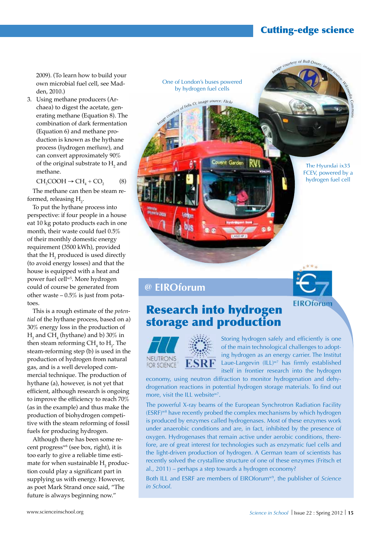## Cutting-edge science

*Comos*

2009). (To learn how to build your own microbial fuel cell, see Madden, 2010.)

3. Using methane producers (Archaea) to digest the acetate, generating methane (Equation 8). The combination of dark fermentation (Equation 6) and methane production is known as the hythane process (*hy*drogen me*thane*), and can convert approximately 90% of the original substrate to  $\mathrm{H}_{2}$  and methane.

 $CH_3COOH \rightarrow CH_4 + CO_2$ (8)

The methane can then be steam reformed, releasing  $\mathrm{H}_{2}$ .

To put the hythane process into perspective: if four people in a house eat 10 kg potato products each in one month, their waste could fuel 0.5% of their monthly domestic energy requirement (3500 kWh), provided that the  $\mathrm{H}_{\mathrm{2}}$  produced is used directly (to avoid energy losses) and that the house is equipped with a heat and power fuel cellw5. More hydrogen could of course be generated from other waste  $-0.5\%$  is just from potatoes.

This is a rough estimate of the *potential* of the hythane process, based on a) 30% energy loss in the production of  $H<sub>2</sub>$  and  $CH<sub>4</sub>$  (hythane) and b) 30% in then steam reforming  $\text{CH}_4$  to  $\text{H}_2$ . The steam-reforming step (b) is used in the production of hydrogen from natural gas, and is a well developed commercial technique. The production of hythane (a), however, is not yet that efficient, although research is ongoing to improve the efficiency to reach 70% (as in the example) and thus make the production of biohydrogen competitive with the steam reforming of fossil fuels for producing hydrogen.

Although there has been some recent progress<sup>w6</sup> (see box, right), it is too early to give a reliable time estimate for when sustainable  $\rm{H}_{2}$  production could play a significant part in supplying us with energy. However, as poet Mark Strand once said, "The future is always beginning now."

Image courtesy of Bull-Doser, image of Felix O; image source: Flick, ent Garde The Hyundai ix35 FCEV, powered by a hydrogen fuel cell



**EIROforum** 

## **@ EIROforum**

## Research into hydrogen storage and production

One of London's buses powered by hydrogen fuel cells





Storing hydrogen safely and efficiently is one of the main technological challenges to adopting hydrogen as an energy carrier. The Institut Laue-Langevin  $(ILL)^{w7}$  has firmly established itself in frontier research into the hydrogen

economy, using neutron diffraction to monitor hydrogenation and dehydrogenation reactions in potential hydrogen storage materials. To find out more, visit the ILL website<sup>w7</sup>.

The powerful X-ray beams of the European Synchrotron Radiation Facility (ESRF)w8 have recently probed the complex mechanisms by which hydrogen is produced by enzymes called hydrogenases. Most of these enzymes work under anaerobic conditions and are, in fact, inhibited by the presence of oxygen. Hydrogenases that remain active under aerobic conditions, therefore, are of great interest for technologies such as enzymatic fuel cells and the light-driven production of hydrogen. A German team of scientists has recently solved the crystalline structure of one of these enzymes (Fritsch et al., 2011) – perhaps a step towards a hydrogen economy?

Both ILL and ESRF are members of EIROforumw9, the publisher of *Science in School*.